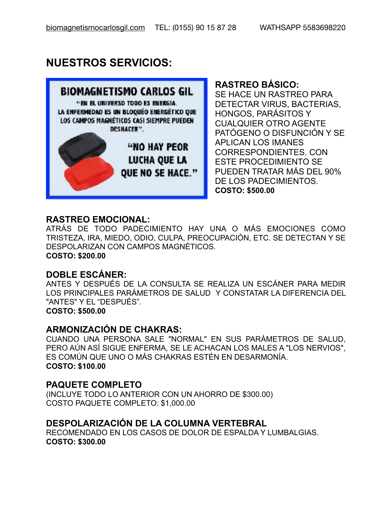# **NUESTROS SERVICIOS:**



**RASTREO BÁSICO:** 

SE HACE UN RASTREO PARA DETECTAR VIRUS, BACTERIAS, HONGOS, PARÁSITOS Y CUALQUIER OTRO AGENTE PATÓGENO O DISFUNCIÓN Y SE APLICAN LOS IMANES CORRESPONDIENTES. CON ESTE PROCEDIMIENTO SE PUEDEN TRATAR MÁS DEL 90% DE LOS PADECIMIENTOS. **COSTO: \$500.00** 

#### **RASTREO EMOCIONAL:**

ATRÁS DE TODO PADECIMIENTO HAY UNA O MÁS EMOCIONES COMO TRISTEZA, IRA, MIEDO, ODIO, CULPA, PREOCUPACIÓN, ETC. SE DETECTAN Y SE DESPOLARIZAN CON CAMPOS MAGNÉTICOS. **COSTO: \$200.00** 

## **DOBLE ESCÁNER:**

ANTES Y DESPUÉS DE LA CONSULTA SE REALIZA UN ESCÁNER PARA MEDIR LOS PRINCIPALES PARÁMETROS DE SALUD Y CONSTATAR LA DIFERENCIA DEL "ANTES" Y EL "DESPUÉS".

**COSTO: \$500.00** 

## **ARMONIZACIÓN DE CHAKRAS:**

CUANDO UNA PERSONA SALE "NORMAL" EN SUS PARÁMETROS DE SALUD, PERO AÚN ASÍ SIGUE ENFERMA, SE LE ACHACAN LOS MALES A "LOS NERVIOS", ES COMÚN QUE UNO O MÁS CHAKRAS ESTÉN EN DESARMONÍA. **COSTO: \$100.00** 

#### **PAQUETE COMPLETO**

(INCLUYE TODO LO ANTERIOR CON UN AHORRO DE \$300.00) COSTO PAQUETE COMPLETO: \$1,000.00

#### **DESPOLARIZACIÓN DE LA COLUMNA VERTEBRAL**

RECOMENDADO EN LOS CASOS DE DOLOR DE ESPALDA Y LUMBALGIAS. **COSTO: \$300.00**